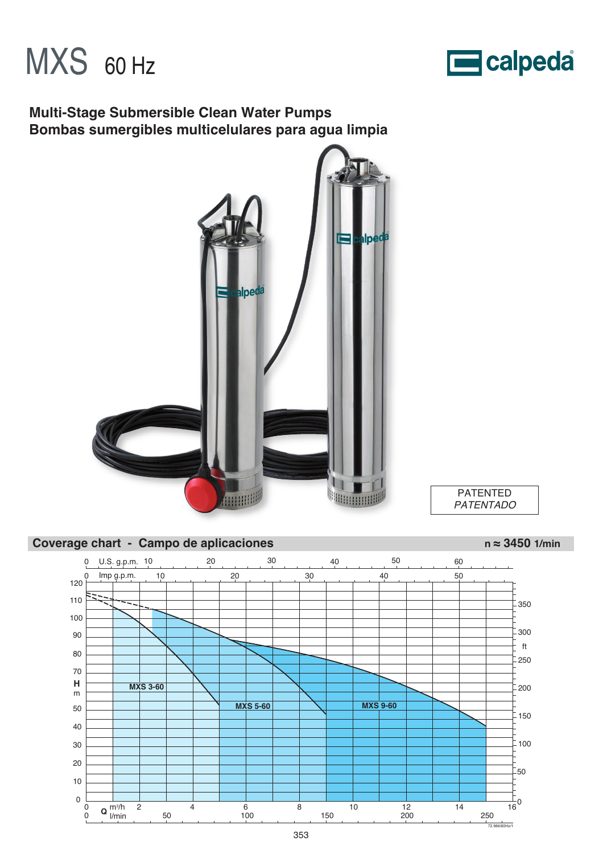



# **Multi-Stage Submersible Clean Water Pumps Bombas sumergibles multicelulares para agua limpia**





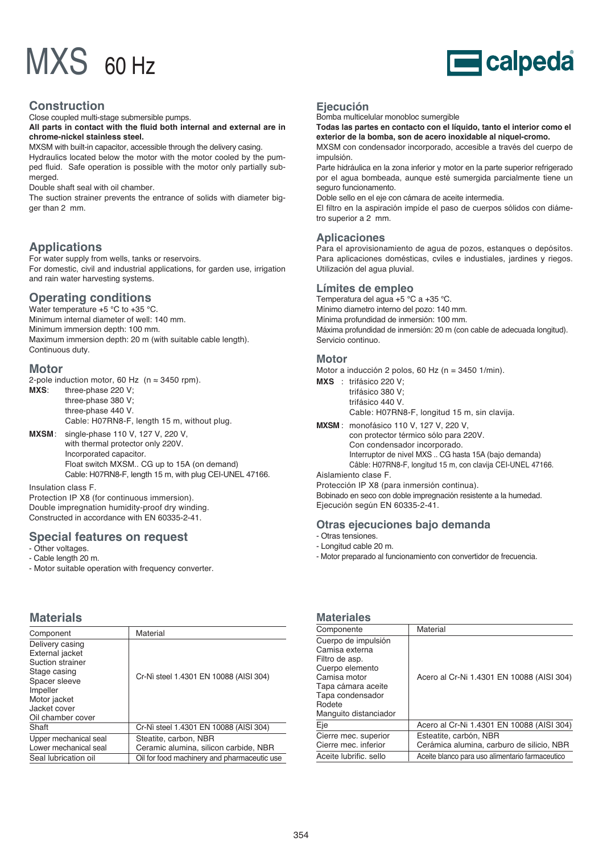

### **Construction**

Close coupled multi-stage submersible pumps.

**All parts in contact with the fluid both internal and external are in chrome-nickel stainless steel.**

MXSM with built-in capacitor, accessible through the delivery casing. Hydraulics located below the motor with the motor cooled by the pumped fluid. Safe operation is possible with the motor only partially submerged.

Double shaft seal with oil chamber.

The suction strainer prevents the entrance of solids with diameter bigger than 2 mm.

# **Applications**

For water supply from wells, tanks or reservoirs. For domestic, civil and industrial applications, for garden use, irrigation and rain water harvesting systems.

## **Operating conditions**

Water temperature +5 °C to +35 °C. Minimum internal diameter of well: 140 mm. Minimum immersion depth: 100 mm. Maximum immersion depth: 20 m (with suitable cable length). Continuous duty.

### **Motor**

2-pole induction motor, 60 Hz ( $n \approx 3450$  rpm).

**MXS**: three-phase 220 V; three-phase 380 V; three-phase 440 V. Cable: H07RN8-F, length 15 m, without plug.

**MXSM**: single-phase 110 V, 127 V, 220 V, with thermal protector only 220V. Incorporated capacitor. Float switch MXSM.. CG up to 15A (on demand) Cable: H07RN8-F, length 15 m, with plug CEI-UNEL 47166.

Insulation class F.

Protection IP X8 (for continuous immersion). Double impregnation humidity-proof dry winding. Constructed in accordance with EN 60335-2-41.

# **Special features on request**

- Other voltages. - Cable length 20 m.
- Motor suitable operation with frequency converter.

# **Materials**

| Component                                                                                                                                                | Material                                                                                                      |
|----------------------------------------------------------------------------------------------------------------------------------------------------------|---------------------------------------------------------------------------------------------------------------|
| Delivery casing<br>External jacket<br>Suction strainer<br>Stage casing<br>Spacer sleeve<br>Impeller<br>Motor jacket<br>Jacket cover<br>Oil chamber cover | Cr-Nì steel 1.4301 EN 10088 (AISI 304)                                                                        |
| Shaft                                                                                                                                                    | Cr-Nì steel 1.4301 EN 10088 (AISI 304)                                                                        |
| Upper mechanical seal<br>Lower mechanical seal<br>Seal lubrication oil                                                                                   | Steatite, carbon, NBR<br>Ceramic alumina, silicon carbide, NBR<br>Oil for food machinery and pharmaceutic use |
|                                                                                                                                                          |                                                                                                               |

## **Ejecución**

Bomba multicelular monobloc sumergible

**Todas las partes en contacto con el líquido, tanto el interior como el exterior de la bomba, son de acero inoxidable al niquel-cromo.**

MXSM con condensador incorporado, accesible a través del cuerpo de impulsión.

Parte hidráulica en la zona inferior y motor en la parte superior refrigerado por el agua bombeada, aunque esté sumergida parcialmente tiene un seguro funcionamento.

Doble sello en el eje con cámara de aceite intermedia.

El filtro en la aspiración impíde el paso de cuerpos sólidos con diámetro superior a 2 mm.

## **Aplicaciones**

Para el aprovisionamiento de agua de pozos, estanques o depósitos. Para aplicaciones domésticas, cviles e industiales, jardines y riegos. Utilización del agua pluvial.

#### **Límites de empleo**

Temperatura del agua +5 °C a +35 °C. Mínimo diametro interno del pozo: 140 mm. Mínima profundidad de inmersión: 100 mm. Máxima profundidad de inmersión: 20 m (con cable de adecuada longitud). Servicio continuo.

#### **Motor**

Motor a inducción 2 polos, 60 Hz (n = 3450 1/min).

**MXS** : trifásico 220 V; trifásico 380 V; trifásico 440 V.

Cable: H07RN8-F, longitud 15 m, sin clavija.

- **MXSM** : monofásico 110 V, 127 V, 220 V,
	- con protector térmico sólo para 220V.
	- Con condensador incorporado. Interruptor de nivel MXS .. CG hasta 15A (bajo demanda)
	- Câble: H07RN8-F, longitud 15 m, con clavija CEI-UNEL 47166.

Aislamiento clase F.

Protección IP X8 (para inmersión continua). Bobinado en seco con doble impregnación resistente a la humedad. Ejecución según EN 60335-2-41.

### **Otras ejecuciones bajo demanda**

- Longitud cable 20 m.
- Motor preparado al funcionamiento con convertidor de frecuencia.

### **Materiales**

| Componente                                                                                                                                                              | Material                                                            |
|-------------------------------------------------------------------------------------------------------------------------------------------------------------------------|---------------------------------------------------------------------|
| Cuerpo de impulsión<br>Camisa externa<br>Filtro de asp.<br>Cuerpo elemento<br>Camisa motor<br>Tapa cámara aceite<br>Tapa condensador<br>Rodete<br>Manguito distanciador | Acero al Cr-Ni 1.4301 EN 10088 (AISI 304)                           |
| Eje                                                                                                                                                                     | Acero al Cr-Ni 1.4301 EN 10088 (AISI 304)                           |
| Cierre mec. superior<br>Cierre mec. inferior                                                                                                                            | Esteatite, carbón, NBR<br>Cerámica alumina, carburo de silicio, NBR |
| Aceite lubrific. sello                                                                                                                                                  | Aceite blanco para uso alimentario farmaceutico                     |

<sup>-</sup> Otras tensiones.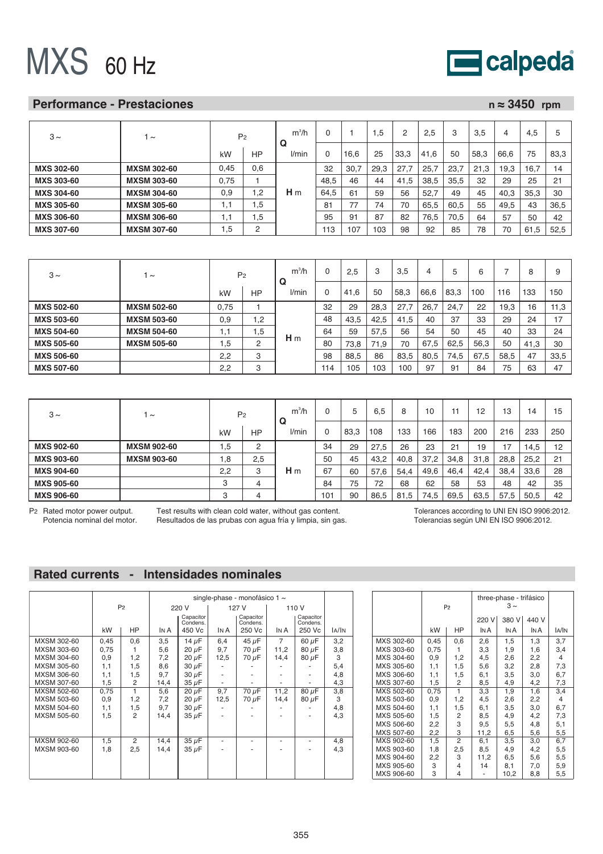

### **Performance - Prestaciones n ≈ 3450 rpm**

| $3 \sim$          | $\sim$             | P <sub>2</sub> |     | $m^3/h$<br>Q   |      |      | .5   | 2    | 2.5  | 3    | 3,5  | 4    | 4.5          |      |
|-------------------|--------------------|----------------|-----|----------------|------|------|------|------|------|------|------|------|--------------|------|
|                   |                    | kW             | HP  | l/min          |      | 16.6 | 25   | 33.3 | 41.6 | 50   | 58.3 | 66.6 | 75           | 83.3 |
| <b>MXS 302-60</b> | <b>MXSM 302-60</b> | 0.45           | 0,6 |                | 32   | 30,7 | 29.3 | 27.7 | 25.7 | 23.7 | 21.3 | 19.3 | 16.7         | 14   |
| <b>MXS 303-60</b> | <b>MXSM 303-60</b> | 0.75           |     |                | 48.5 | 46   | 44   | 41.5 | 38.5 | 35.5 | 32   | 29   | 25           | 21   |
| <b>MXS 304-60</b> | <b>MXSM 304-60</b> | 0.9            | 1,2 | H <sub>m</sub> | 64.5 | 61   | 59   | 56   | 52,7 | 49   | 45   | 40,3 | 35.3         | 30   |
| <b>MXS 305-60</b> | <b>MXSM 305-60</b> | 1,1            | l.5 |                | 81   |      | 74   | 70   | 65,5 | 60.5 | 55   | 49,5 | 43           | 36,5 |
| <b>MXS 306-60</b> | <b>MXSM 306-60</b> | 1,1            | 1.5 |                | 95   | 91   | 87   | 82   | 76.5 | 70.5 | 64   | 57   | 50           | 42   |
| <b>MXS 307-60</b> | <b>MXSM 307-60</b> | .5             | ◠   |                | 113  | 107  | 103  | 98   | 92   | 85   | 78   | 70   | $.5\,$<br>61 | 52.5 |

| $3 \sim$          | $\tilde{}$         | P <sub>2</sub> |                | $m^3/h$<br>Q   |     | 2,5  | 3    | 3,5  | 4    | 5    | 6    |      | 8    |      |
|-------------------|--------------------|----------------|----------------|----------------|-----|------|------|------|------|------|------|------|------|------|
|                   |                    | kW             | НP             | l/min          | 0   | 41.6 | 50   | 58,3 | 66,6 | 83,3 | 100  | 116  | 133  | 150  |
| <b>MXS 502-60</b> | <b>MXSM 502-60</b> | 0,75           |                |                | 32  | 29   | 28,3 | 27.7 | 26.7 | 24.7 | 22   | 19,3 | 16   | 11,3 |
| <b>MXS 503-60</b> | <b>MXSM 503-60</b> | 0,9            | 1,2            |                | 48  | 43,5 | 42,5 | 41,5 | 40   | 37   | 33   | 29   | 24   | $-1$ |
| <b>MXS 504-60</b> | <b>MXSM 504-60</b> | $\cdot$ 1      | .5             |                | 64  | 59   | 57.5 | 56   | 54   | 50   | 45   | 40   | 33   | 24   |
| <b>MXS 505-60</b> | <b>MXSM 505-60</b> | .5             | $\overline{2}$ | H <sub>m</sub> | 80  | 73.8 | 71.9 | 70   | 67.5 | 62.5 | 56.3 | 50   | 41,3 | 30   |
| <b>MXS 506-60</b> |                    | 2,2            | 3              |                | 98  | 88.5 | 86   | 83.5 | 80.5 | 74.5 | 67.5 | 58.5 | 47   | 33,5 |
| <b>MXS 507-60</b> |                    | 2.2            | c<br>o         |                | 114 | 105  | 103  | 100  | 97   | 91   | 84   | 75   | 63   | 47   |

| $3\sim$           | $\sim$             | P <sub>2</sub> |     | $m^3/h$<br>Q   |     | 5    | 6,5  | 8    | 10   |      | 12   | 13   | 14   | 15  |
|-------------------|--------------------|----------------|-----|----------------|-----|------|------|------|------|------|------|------|------|-----|
|                   |                    | kW             | НP  | l/min          |     | 83,3 | 108  | 133  | 166  | 183  | 200  | 216  | 233  | 250 |
| <b>MXS 902-60</b> | <b>MXSM 902-60</b> | .5             | 2   |                | 34  | 29   | 27,5 | 26   | 23   | 21   | 19   | 17   | 14,5 | 12  |
| <b>MXS 903-60</b> | <b>MXSM 903-60</b> | .8             | 2,5 |                | 50  | 45   | 43,2 | 40.8 | 37.2 | 34.8 | 31.8 | 28.8 | 25,2 | 21  |
| <b>MXS 904-60</b> |                    | 2,2            | 3   | H <sub>m</sub> | 67  | 60   | 57,6 | 54,4 | 49,6 | 46,4 | 42,4 | 38,4 | 33,6 | 28  |
| <b>MXS 905-60</b> |                    | ∘<br>ٿ         | 4   |                | 84  | 75   | 72   | 68   | 62   | 58   | 53   | 48   | 42   | 35  |
| <b>MXS 906-60</b> |                    | ີ<br>◡         | 4   |                | 101 | 90   | 86,5 | 81,5 | 74,5 | 69,5 | 63,5 | 57,5 | 50,5 | 42  |

P2 Rated motor power output. Potencia nominal del motor.

Test results with clean cold water, without gas content. Resultados de las prubas con agua fría y limpia, sin gas. Tolerances according to UNI EN ISO 9906:2012. Tolerancias según UNI EN ISO 9906:2012.

# **Rated currents - Intensidades nominales**

|             |      |                |      |                       |      | single-phase - monofásico 1 $\sim$ |                |                       |       |
|-------------|------|----------------|------|-----------------------|------|------------------------------------|----------------|-----------------------|-------|
|             |      | P <sub>2</sub> |      | 220 V                 |      | 127 V                              | 110 V          |                       |       |
|             |      |                |      | Capacitor<br>Condens. |      | Capacitor<br>Condens.              |                | Capacitor<br>Condens. |       |
|             | kW   | HP             | IN A | 450 Vc                | IN A | 250 Vc                             | IN A           | 250 Vc                | IA/IN |
| MXSM 302-60 | 0,45 | 0,6            | 3,5  | 14 $\mu$ F            | 6,4  | $45 \mu F$                         | $\overline{7}$ | $60 \mu F$            | 3,2   |
| MXSM 303-60 | 0,75 | 1              | 5,6  | 20 µF                 | 9,7  | 70 µF                              | 11,2           | 80 µF                 | 3,8   |
| MXSM 304-60 | 0,9  | 1,2            | 7,2  | 20 µF                 | 12,5 | 70 µF                              | 14,4           | 80 µF                 | 3     |
| MXSM 305-60 | 1,1  | 1,5            | 8,6  | 30 µF                 |      |                                    |                |                       | 5,4   |
| MXSM 306-60 | 1,1  | 1,5            | 9,7  | 30 µF                 |      |                                    |                |                       | 4,8   |
| MXSM 307-60 | 1,5  | 2              | 14,4 | 35 µF                 |      |                                    |                |                       | 4,3   |
| MXSM 502-60 | 0,75 | 1              | 5,6  | $20 \mu F$            | 9,7  | 70 µF                              | 11,2           | 80 µF                 | 3,8   |
| MXSM 503-60 | 0,9  | 1,2            | 7,2  | $20 \mu F$            | 12,5 | 70 µF                              | 14,4           | $80 \mu F$            | 3     |
| MXSM 504-60 | 1,1  | 1,5            | 9,7  | 30 µF                 |      |                                    |                |                       | 4,8   |
| MXSM 505-60 | 1,5  | 2              | 14,4 | 35 µF                 |      |                                    |                |                       | 4,3   |
|             |      |                |      |                       |      |                                    |                |                       |       |
| MXSM 902-60 | 1,5  | $\overline{2}$ | 14,4 | $35 \mu F$            | ٠    | ٠                                  | ۰              |                       | 4,8   |
| MXSM 903-60 | 1,8  | 2,5            | 14,4 | $35 \mu F$            |      |                                    |                |                       | 4,3   |
|             |      |                |      |                       |      |                                    |                |                       |       |
|             |      |                |      |                       |      |                                    |                |                       |       |
|             |      |                |      |                       |      |                                    |                |                       |       |

|            |      | P <sub>2</sub> | three-phase - trifásico |       |       |              |
|------------|------|----------------|-------------------------|-------|-------|--------------|
|            |      |                | 220 V                   | 380 V | 440 V |              |
|            | kW   | HP             | IN A                    | IN A  | IN A  | <b>IA/IN</b> |
| MXS 302-60 | 0,45 | 0,6            | 2,6                     | 1,5   | 1,3   | 3,7          |
| MXS 303-60 | 0,75 | 1              | 3,3                     | 1,9   | 1,6   | 3,4          |
| MXS 304-60 | 0,9  | 1,2            | 4,5                     | 2,6   | 2,2   | 4            |
| MXS 305-60 | 1,1  | 1,5            | 5,6                     | 3,2   | 2,8   | 7,3          |
| MXS 306-60 | 1,1  | 1,5            | 6,1                     | 3,5   | 3,0   | 6,7          |
| MXS 307-60 | 1,5  | 2              | 8,5                     | 4,9   | 4,2   | 7,3          |
| MXS 502-60 | 0,75 | $\mathbf{1}$   | 3,3                     | 1,9   | 1,6   | 3,4          |
| MXS 503-60 | 0,9  | 1,2            | 4,5                     | 2,6   | 2,2   | 4            |
| MXS 504-60 | 1,1  | 1,5            | 6,1                     | 3,5   | 3,0   | 6,7          |
| MXS 505-60 | 1,5  | 2              | 8,5                     | 4,9   | 4,2   | 7,3          |
| MXS 506-60 | 2,2  | 3              | 9,5                     | 5,5   | 4,8   | 5,1          |
| MXS 507-60 | 2,2  | 3              | 11,2                    | 6,5   | 5,6   | 5,5          |
| MXS 902-60 | 1,5  | 2              | 6,1                     | 3,5   | 3,0   | 6,7          |
| MXS 903-60 | 1,8  | 2,5            | 8,5                     | 4,9   | 4,2   | 5,5          |
| MXS 904-60 | 2,2  | 3              | 11,2                    | 6,5   | 5,6   | 5,5          |
| MXS 905-60 | 3    | 4              | 14                      | 8,1   | 7,0   | 5,9          |
| MXS 906-60 | 3    | 4              |                         | 10,2  | 8,8   | 5,5          |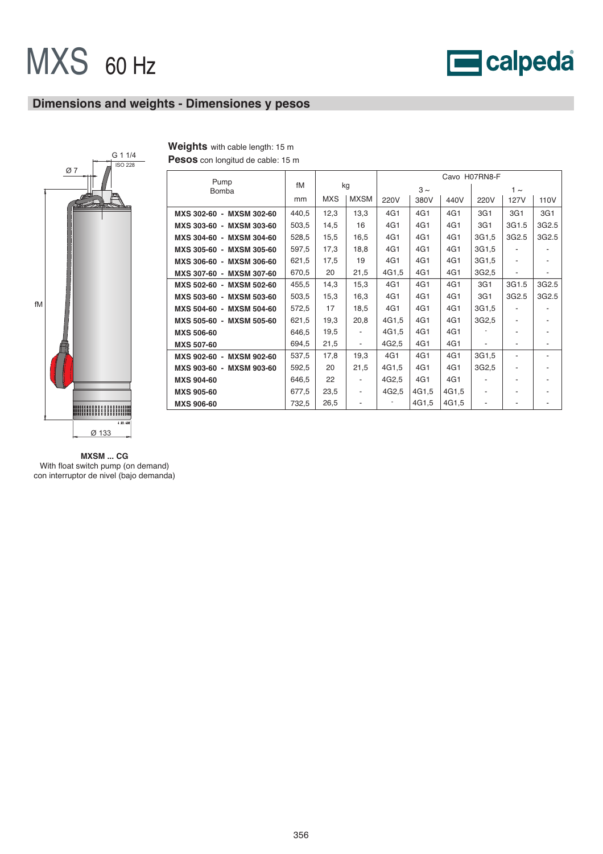

# **Dimensions and weights - Dimensiones y pesos**



| Weights with cable length: 15 m |
|---------------------------------|
|                                 |

**Pesos** con longitud de cable: 15 m

| Pump                     |       |            |                          | Cavo H07RN8-F |          |       |                    |             |       |  |  |
|--------------------------|-------|------------|--------------------------|---------------|----------|-------|--------------------|-------------|-------|--|--|
| Bomba                    | fM    |            | kg                       |               | $3 \sim$ |       | $1 \sim$           |             |       |  |  |
|                          | mm    | <b>MXS</b> | <b>MXSM</b>              | 220V          | 380V     | 440V  | 220V               | <b>127V</b> | 110V  |  |  |
| MXS 302-60 - MXSM 302-60 | 440,5 | 12,3       | 13,3                     | 4G1           | 4G1      | 4G1   | 3G1                | 3G1         | 3G1   |  |  |
| MXS 303-60 - MXSM 303-60 | 503,5 | 14,5       | 16                       | 4G1           | 4G1      | 4G1   | 3G1                | 3G1.5       | 3G2.5 |  |  |
| MXS 304-60 - MXSM 304-60 | 528,5 | 15,5       | 16,5                     | 4G1           | 4G1      | 4G1   | 3G1,5              | 3G2.5       | 3G2.5 |  |  |
| MXS 305-60 - MXSM 305-60 | 597,5 | 17,3       | 18,8                     | 4G1           | 4G1      | 4G1   | 3G1,5              |             |       |  |  |
| MXS 306-60 - MXSM 306-60 | 621,5 | 17,5       | 19                       | 4G1           | 4G1      | 4G1   | 3G1,5              | -           |       |  |  |
| MXS 307-60 - MXSM 307-60 | 670,5 | 20         | 21,5                     | 4G1,5         | 4G1      | 4G1   | 3G2,5              | -           |       |  |  |
| MXS 502-60 - MXSM 502-60 | 455,5 | 14,3       | 15,3                     | 4G1           | 4G1      | 4G1   | 3G1                | 3G1.5       | 3G2.5 |  |  |
| MXS 503-60 - MXSM 503-60 | 503,5 | 15,3       | 16,3                     | 4G1           | 4G1      | 4G1   | 3G1                | 3G2.5       | 3G2.5 |  |  |
| MXS 504-60 - MXSM 504-60 | 572,5 | 17         | 18,5                     | 4G1           | 4G1      | 4G1   | 3G1,5              |             |       |  |  |
| MXS 505-60 - MXSM 505-60 | 621,5 | 19,3       | 20,8                     | 4G1,5         | 4G1      | 4G1   | 3G <sub>2</sub> ,5 | ٠           |       |  |  |
| <b>MXS 506-60</b>        | 646,5 | 19,5       |                          | 4G1,5         | 4G1      | 4G1   |                    |             |       |  |  |
| <b>MXS 507-60</b>        | 694,5 | 21,5       | $\overline{\phantom{a}}$ | 4G2,5         | 4G1      | 4G1   | ٠                  |             |       |  |  |
| MXS 902-60 - MXSM 902-60 | 537,5 | 17,8       | 19,3                     | 4G1           | 4G1      | 4G1   | 3G1,5              | -           |       |  |  |
| MXS 903-60 - MXSM 903-60 | 592,5 | 20         | 21,5                     | 4G1.5         | 4G1      | 4G1   | 3G2,5              |             |       |  |  |
| <b>MXS 904-60</b>        | 646,5 | 22         |                          | 4G2,5         | 4G1      | 4G1   |                    |             |       |  |  |
| <b>MXS 905-60</b>        | 677,5 | 23,5       | ۰                        | 4G2,5         | 4G1.5    | 4G1,5 | ۰                  |             |       |  |  |
| <b>MXS 906-60</b>        | 732,5 | 26,5       |                          |               | 4G1.5    | 4G1,5 |                    |             |       |  |  |

**MXSM ... CG**  With float switch pump (on demand) con interruptor de nivel (bajo demanda)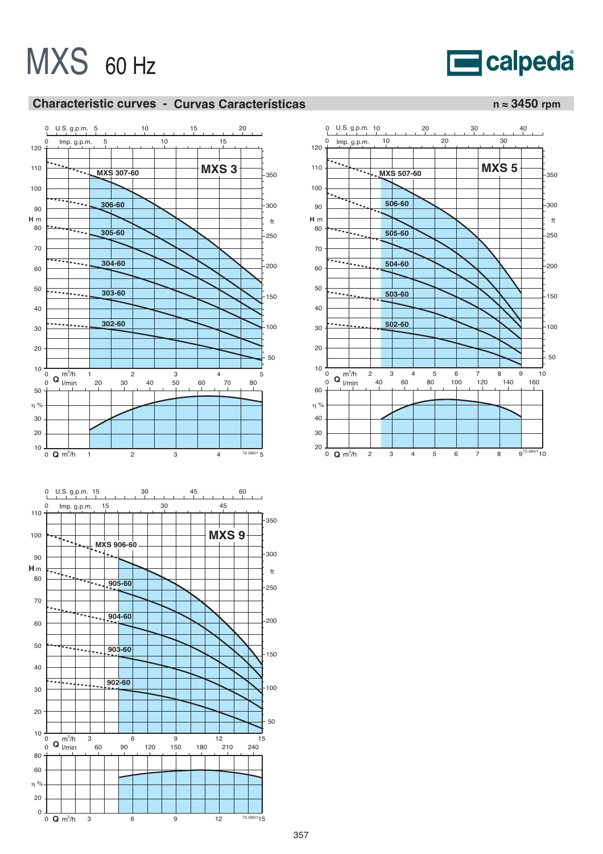# **E**calpeda

# **Characteristic curves - Curvas Características n ≈ 3450 rpm**